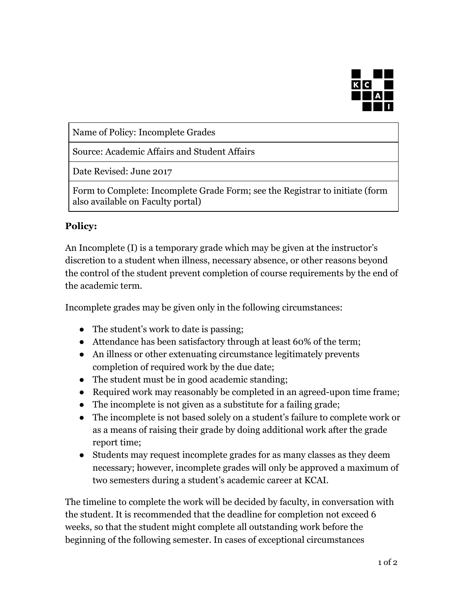

Name of Policy: Incomplete Grades

Source: Academic Affairs and Student Affairs

Date Revised: June 2017

Form to Complete: Incomplete Grade Form; see the Registrar to initiate (form also available on Faculty portal)

## **Policy:**

An Incomplete (I) is a temporary grade which may be given at the instructor's discretion to a student when illness, necessary absence, or other reasons beyond the control of the student prevent completion of course requirements by the end of the academic term.

Incomplete grades may be given only in the following circumstances:

- The student's work to date is passing;
- Attendance has been satisfactory through at least 60% of the term;
- An illness or other extenuating circumstance legitimately prevents completion of required work by the due date;
- The student must be in good academic standing;
- Required work may reasonably be completed in an agreed-upon time frame;
- The incomplete is not given as a substitute for a failing grade;
- The incomplete is not based solely on a student's failure to complete work or as a means of raising their grade by doing additional work after the grade report time;
- Students may request incomplete grades for as many classes as they deem necessary; however, incomplete grades will only be approved a maximum of two semesters during a student's academic career at KCAI.

The timeline to complete the work will be decided by faculty, in conversation with the student. It is recommended that the deadline for completion not exceed 6 weeks, so that the student might complete all outstanding work before the beginning of the following semester. In cases of exceptional circumstances